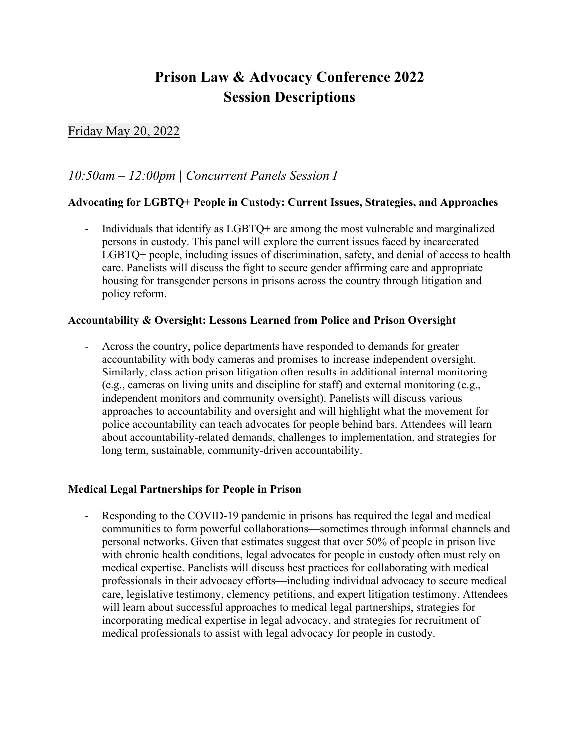# **Prison Law & Advocacy Conference 2022 Session Descriptions**

# Friday May 20, 2022

# *10:50am – 12:00pm | Concurrent Panels Session I*

# **Advocating for LGBTQ+ People in Custody: Current Issues, Strategies, and Approaches**

Individuals that identify as  $LGBTQ$ + are among the most vulnerable and marginalized persons in custody. This panel will explore the current issues faced by incarcerated LGBTQ+ people, including issues of discrimination, safety, and denial of access to health care. Panelists will discuss the fight to secure gender affirming care and appropriate housing for transgender persons in prisons across the country through litigation and policy reform.

#### **Accountability & Oversight: Lessons Learned from Police and Prison Oversight**

- Across the country, police departments have responded to demands for greater accountability with body cameras and promises to increase independent oversight. Similarly, class action prison litigation often results in additional internal monitoring (e.g., cameras on living units and discipline for staff) and external monitoring (e.g., independent monitors and community oversight). Panelists will discuss various approaches to accountability and oversight and will highlight what the movement for police accountability can teach advocates for people behind bars. Attendees will learn about accountability-related demands, challenges to implementation, and strategies for long term, sustainable, community-driven accountability.

#### **Medical Legal Partnerships for People in Prison**

- Responding to the COVID-19 pandemic in prisons has required the legal and medical communities to form powerful collaborations—sometimes through informal channels and personal networks. Given that estimates suggest that over 50% of people in prison live with chronic health conditions, legal advocates for people in custody often must rely on medical expertise. Panelists will discuss best practices for collaborating with medical professionals in their advocacy efforts—including individual advocacy to secure medical care, legislative testimony, clemency petitions, and expert litigation testimony. Attendees will learn about successful approaches to medical legal partnerships, strategies for incorporating medical expertise in legal advocacy, and strategies for recruitment of medical professionals to assist with legal advocacy for people in custody.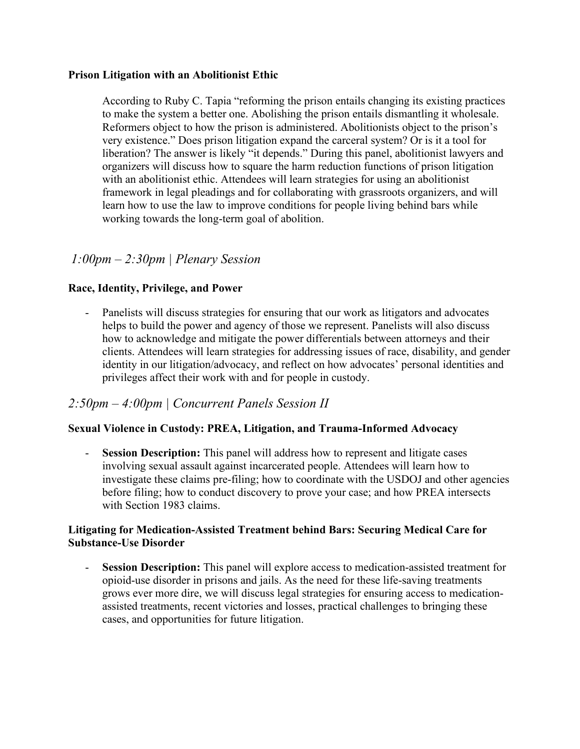#### **Prison Litigation with an Abolitionist Ethic**

According to Ruby C. Tapia "reforming the prison entails changing its existing practices to make the system a better one. Abolishing the prison entails dismantling it wholesale. Reformers object to how the prison is administered. Abolitionists object to the prison's very existence." Does prison litigation expand the carceral system? Or is it a tool for liberation? The answer is likely "it depends." During this panel, abolitionist lawyers and organizers will discuss how to square the harm reduction functions of prison litigation with an abolitionist ethic. Attendees will learn strategies for using an abolitionist framework in legal pleadings and for collaborating with grassroots organizers, and will learn how to use the law to improve conditions for people living behind bars while working towards the long-term goal of abolition.

# *1:00pm – 2:30pm | Plenary Session*

# **Race, Identity, Privilege, and Power**

Panelists will discuss strategies for ensuring that our work as litigators and advocates helps to build the power and agency of those we represent. Panelists will also discuss how to acknowledge and mitigate the power differentials between attorneys and their clients. Attendees will learn strategies for addressing issues of race, disability, and gender identity in our litigation/advocacy, and reflect on how advocates' personal identities and privileges affect their work with and for people in custody.

# *2:50pm – 4:00pm | Concurrent Panels Session II*

#### **Sexual Violence in Custody: PREA, Litigation, and Trauma-Informed Advocacy**

- **Session Description:** This panel will address how to represent and litigate cases involving sexual assault against incarcerated people. Attendees will learn how to investigate these claims pre-filing; how to coordinate with the USDOJ and other agencies before filing; how to conduct discovery to prove your case; and how PREA intersects with Section 1983 claims.

#### **Litigating for Medication-Assisted Treatment behind Bars: Securing Medical Care for Substance-Use Disorder**

**Session Description:** This panel will explore access to medication-assisted treatment for opioid-use disorder in prisons and jails. As the need for these life-saving treatments grows ever more dire, we will discuss legal strategies for ensuring access to medicationassisted treatments, recent victories and losses, practical challenges to bringing these cases, and opportunities for future litigation.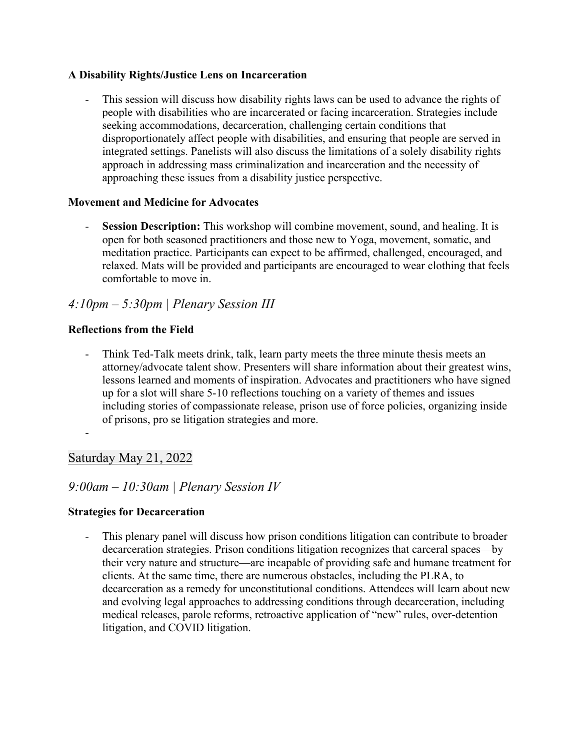# **A Disability Rights/Justice Lens on Incarceration**

This session will discuss how disability rights laws can be used to advance the rights of people with disabilities who are incarcerated or facing incarceration. Strategies include seeking accommodations, decarceration, challenging certain conditions that disproportionately affect people with disabilities, and ensuring that people are served in integrated settings. Panelists will also discuss the limitations of a solely disability rights approach in addressing mass criminalization and incarceration and the necessity of approaching these issues from a disability justice perspective.

# **Movement and Medicine for Advocates**

- **Session Description:** This workshop will combine movement, sound, and healing. It is open for both seasoned practitioners and those new to Yoga, movement, somatic, and meditation practice. Participants can expect to be affirmed, challenged, encouraged, and relaxed. Mats will be provided and participants are encouraged to wear clothing that feels comfortable to move in.

# *4:10pm – 5:30pm | Plenary Session III*

# **Reflections from the Field**

- Thin[k](https://urldefense.com/v3/__https:/www.ted.com/speakers/laura_rovner__;!!Dq0X2DkFhyF93HkjWTBQKhk!GNUedSSI_rVczPBpuQcidEXRpWpmIN-ujUlMWmZwnIWLPl5I9Lyar2CeszWaa8niadK_9WutnF8$) [Ted-Talk](https://urldefense.com/v3/__https:/www.ted.com/speakers/laura_rovner__;!!Dq0X2DkFhyF93HkjWTBQKhk!GNUedSSI_rVczPBpuQcidEXRpWpmIN-ujUlMWmZwnIWLPl5I9Lyar2CeszWaa8niadK_9WutnF8$) meets [drink, talk, learn party](https://urldefense.com/v3/__https:/www.bustle.com/p/what-are-drink-talk-learn-parties-guests-are-giving-3-minute-presentations-to-each-other-in-the-most-awesome-way-7917688__;!!Dq0X2DkFhyF93HkjWTBQKhk!GNUedSSI_rVczPBpuQcidEXRpWpmIN-ujUlMWmZwnIWLPl5I9Lyar2CeszWaa8niadK_NOtNEPc$) meets [the three minute thesis](https://urldefense.com/v3/__https:/pipettegazette.uthscsa.edu/2020/08/21/10-tips-for-3-minute-thesis-competition/__;!!Dq0X2DkFhyF93HkjWTBQKhk!GNUedSSI_rVczPBpuQcidEXRpWpmIN-ujUlMWmZwnIWLPl5I9Lyar2CeszWaa8niadK_J88Fdag$) meets an attorney/advocate talent show. Presenters will share information about their greatest wins, lessons learned and moments of inspiration. Advocates and practitioners who have signed up for a slot will share 5-10 reflections touching on a variety of themes and issues including stories of compassionate release, prison use of force policies, organizing inside of prisons, pro se litigation strategies and more.
- -

# Saturday May 21, 2022

# *9:00am – 10:30am | Plenary Session IV*

# **Strategies for Decarceration**

- This plenary panel will discuss how prison conditions litigation can contribute to broader decarceration strategies. Prison conditions litigation recognizes that carceral spaces—by their very nature and structure—are incapable of providing safe and humane treatment for clients. At the same time, there are numerous obstacles, including the PLRA, to decarceration as a remedy for unconstitutional conditions. Attendees will learn about new and evolving legal approaches to addressing conditions through decarceration, including medical releases, parole reforms, retroactive application of "new" rules, over-detention litigation, and COVID litigation.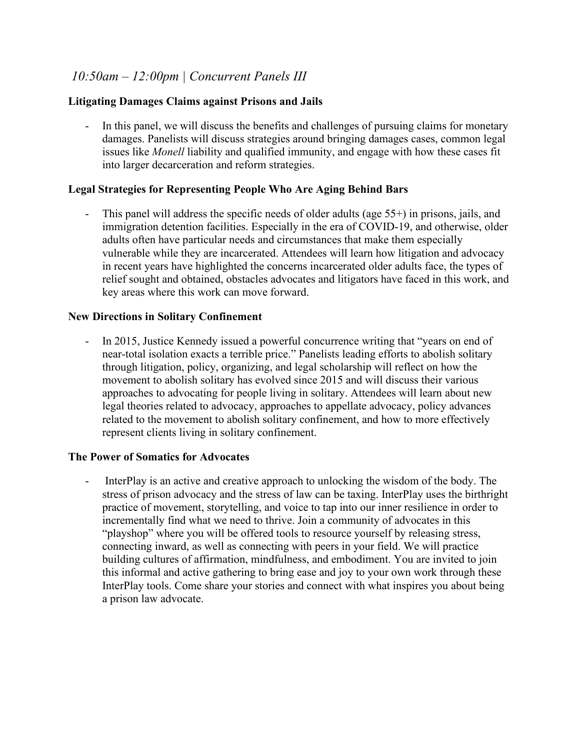# *10:50am – 12:00pm | Concurrent Panels III*

### **Litigating Damages Claims against Prisons and Jails**

In this panel, we will discuss the benefits and challenges of pursuing claims for monetary damages. Panelists will discuss strategies around bringing damages cases, common legal issues like *Monell* liability and qualified immunity, and engage with how these cases fit into larger decarceration and reform strategies.

#### **Legal Strategies for Representing People Who Are Aging Behind Bars**

This panel will address the specific needs of older adults (age  $55+$ ) in prisons, jails, and immigration detention facilities. Especially in the era of COVID-19, and otherwise, older adults often have particular needs and circumstances that make them especially vulnerable while they are incarcerated. Attendees will learn how litigation and advocacy in recent years have highlighted the concerns incarcerated older adults face, the types of relief sought and obtained, obstacles advocates and litigators have faced in this work, and key areas where this work can move forward.

#### **New Directions in Solitary Confinement**

- In 2015, Justice Kennedy issued a powerful concurrence writing that "years on end of near-total isolation exacts a terrible price." Panelists leading efforts to abolish solitary through litigation, policy, organizing, and legal scholarship will reflect on how the movement to abolish solitary has evolved since 2015 and will discuss their various approaches to advocating for people living in solitary. Attendees will learn about new legal theories related to advocacy, approaches to appellate advocacy, policy advances related to the movement to abolish solitary confinement, and how to more effectively represent clients living in solitary confinement.

#### **The Power of Somatics for Advocates**

- InterPlay is an active and creative approach to unlocking the wisdom of the body. The stress of prison advocacy and the stress of law can be taxing. InterPlay uses the birthright practice of movement, storytelling, and voice to tap into our inner resilience in order to incrementally find what we need to thrive. Join a community of advocates in this "playshop" where you will be offered tools to resource yourself by releasing stress, connecting inward, as well as connecting with peers in your field. We will practice building cultures of affirmation, mindfulness, and embodiment. You are invited to join this informal and active gathering to bring ease and joy to your own work through these InterPlay tools. Come share your stories and connect with what inspires you about being a prison law advocate.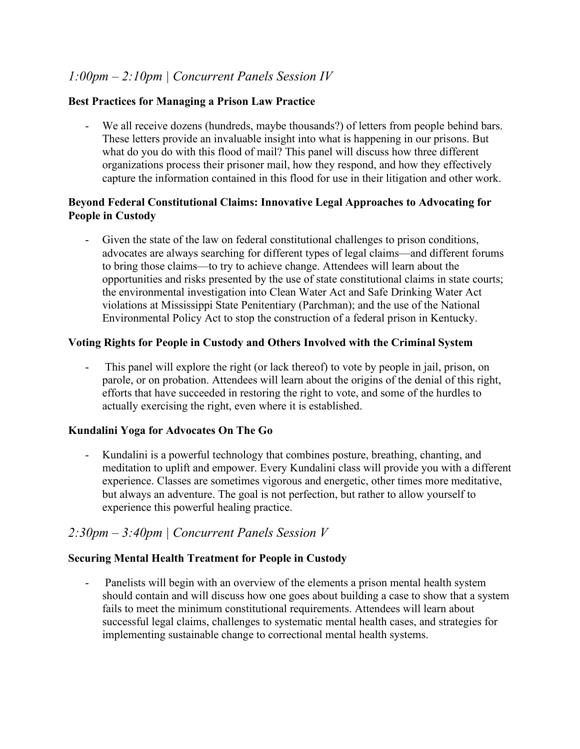# *1:00pm – 2:10pm | Concurrent Panels Session IV*

### **Best Practices for Managing a Prison Law Practice**

- We all receive dozens (hundreds, maybe thousands?) of letters from people behind bars. These letters provide an invaluable insight into what is happening in our prisons. But what do you do with this flood of mail? This panel will discuss how three different organizations process their prisoner mail, how they respond, and how they effectively capture the information contained in this flood for use in their litigation and other work.

### **Beyond Federal Constitutional Claims: Innovative Legal Approaches to Advocating for People in Custody**

- Given the state of the law on federal constitutional challenges to prison conditions, advocates are always searching for different types of legal claims—and different forums to bring those claims—to try to achieve change. Attendees will learn about the opportunities and risks presented by the use of state constitutional claims in state courts; the environmental investigation into Clean Water Act and Safe Drinking Water Act violations at Mississippi State Penitentiary (Parchman); and the use of the National Environmental Policy Act to stop the construction of a federal prison in Kentucky.

#### **Voting Rights for People in Custody and Others Involved with the Criminal System**

This panel will explore the right (or lack thereof) to vote by people in jail, prison, on parole, or on probation. Attendees will learn about the origins of the denial of this right, efforts that have succeeded in restoring the right to vote, and some of the hurdles to actually exercising the right, even where it is established.

#### **Kundalini Yoga for Advocates On The Go**

- Kundalini is a powerful technology that combines posture, breathing, chanting, and meditation to uplift and empower. Every Kundalini class will provide you with a different experience. Classes are sometimes vigorous and energetic, other times more meditative, but always an adventure. The goal is not perfection, but rather to allow yourself to experience this powerful healing practice.

# *2:30pm – 3:40pm | Concurrent Panels Session V*

#### **Securing Mental Health Treatment for People in Custody**

- Panelists will begin with an overview of the elements a prison mental health system should contain and will discuss how one goes about building a case to show that a system fails to meet the minimum constitutional requirements. Attendees will learn about successful legal claims, challenges to systematic mental health cases, and strategies for implementing sustainable change to correctional mental health systems.